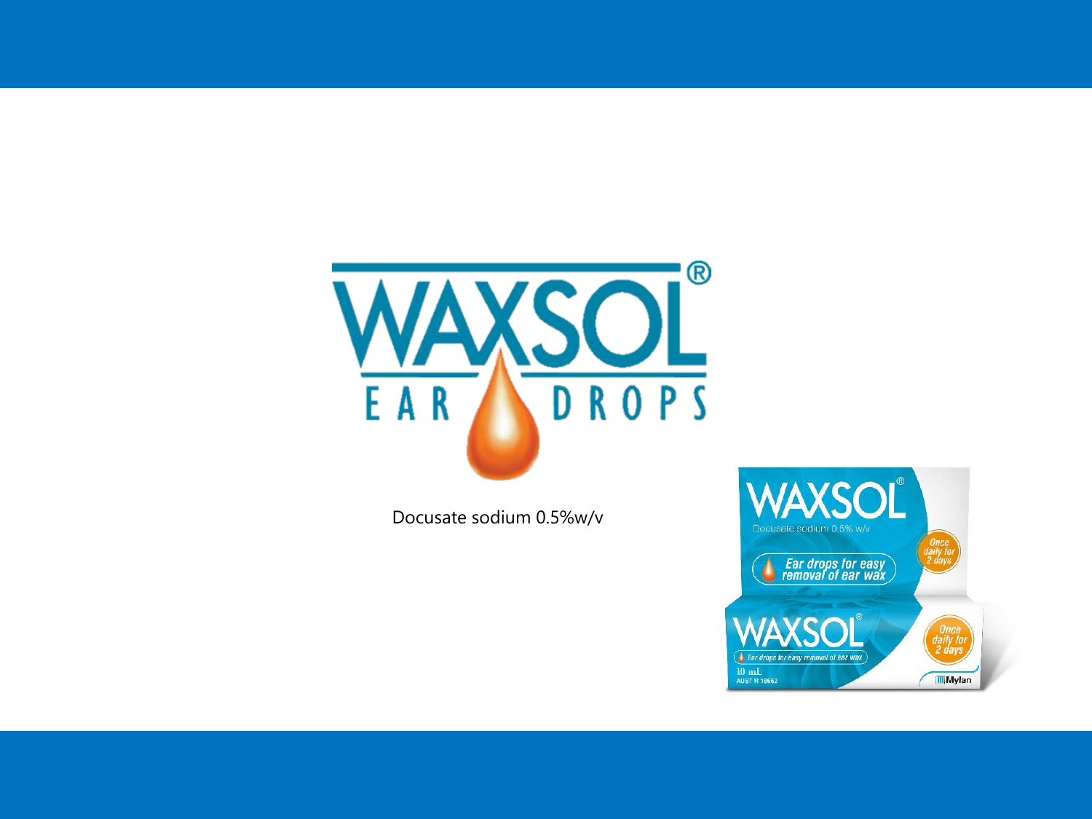

Docusate sodium 0.5%w/v

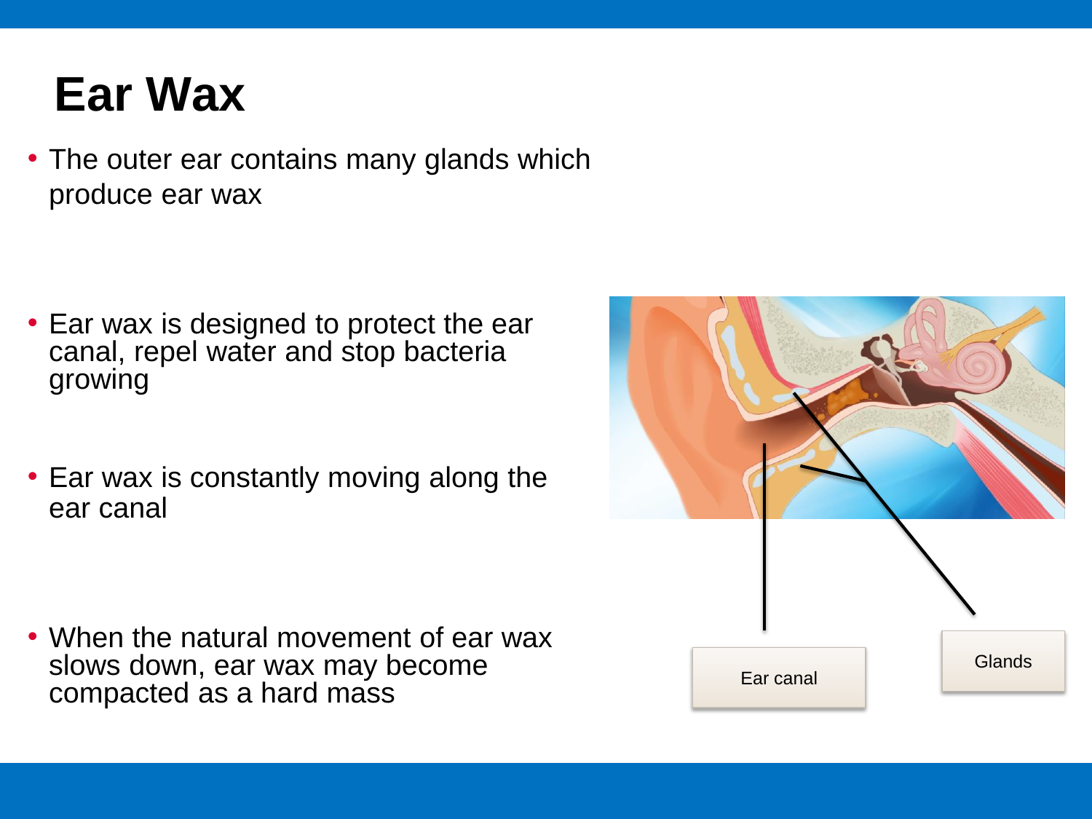### **Ear Wax**

• The outer ear contains many glands which produce ear wax

- Ear wax is designed to protect the ear canal, repel water and stop bacteria growing
- Ear wax is constantly moving along the ear canal

• When the natural movement of ear wax slows down, ear wax may become compacted as a hard mass Ear canal

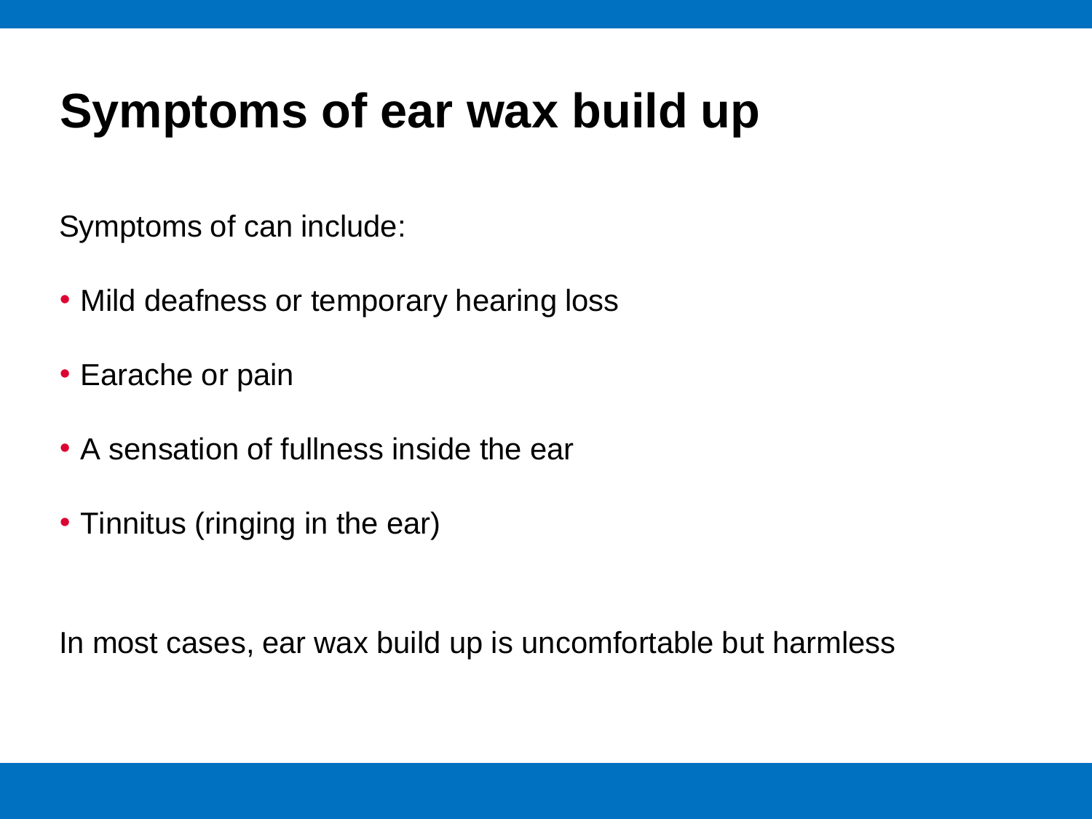## **Symptoms of ear wax build up**

Symptoms of can include:

- Mild deafness or temporary hearing loss
- Earache or pain
- A sensation of fullness inside the ear
- Tinnitus (ringing in the ear)

In most cases, ear wax build up is uncomfortable but harmless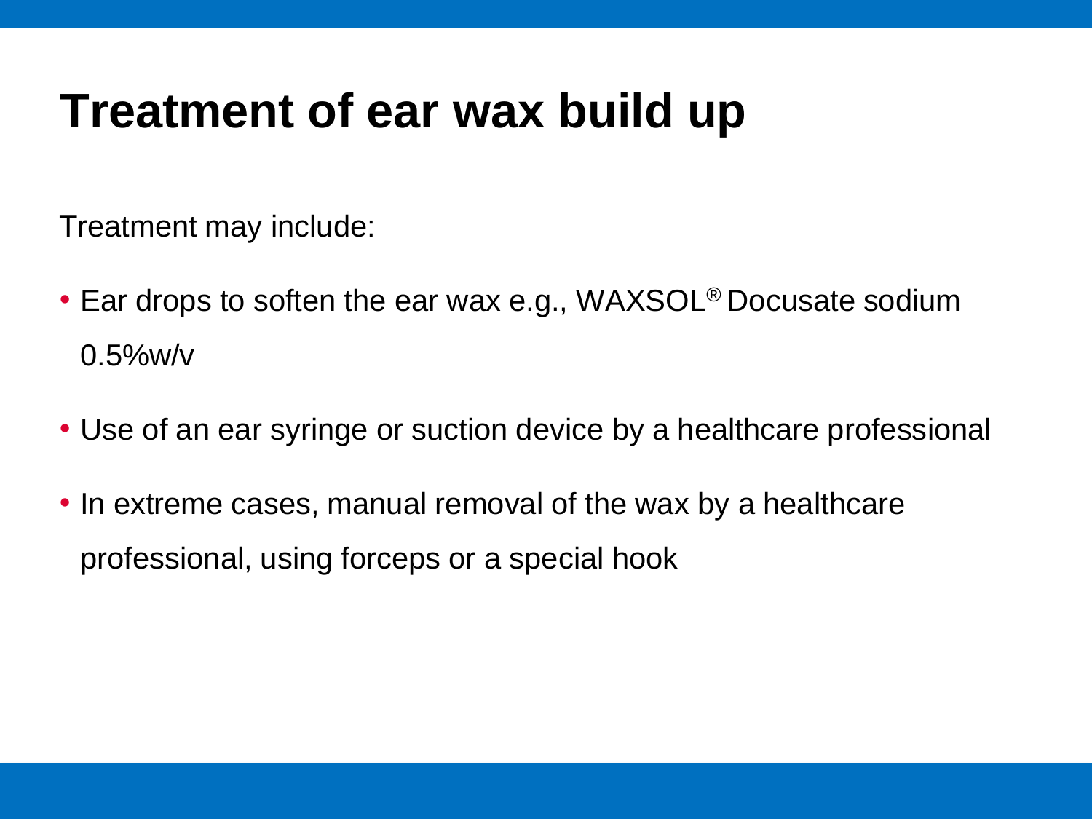### **Treatment of ear wax build up**

Treatment may include:

- Ear drops to soften the ear wax e.g., WAXSOL<sup>®</sup> Docusate sodium 0.5%w/v
- Use of an ear syringe or suction device by a healthcare professional
- In extreme cases, manual removal of the wax by a healthcare professional, using forceps or a special hook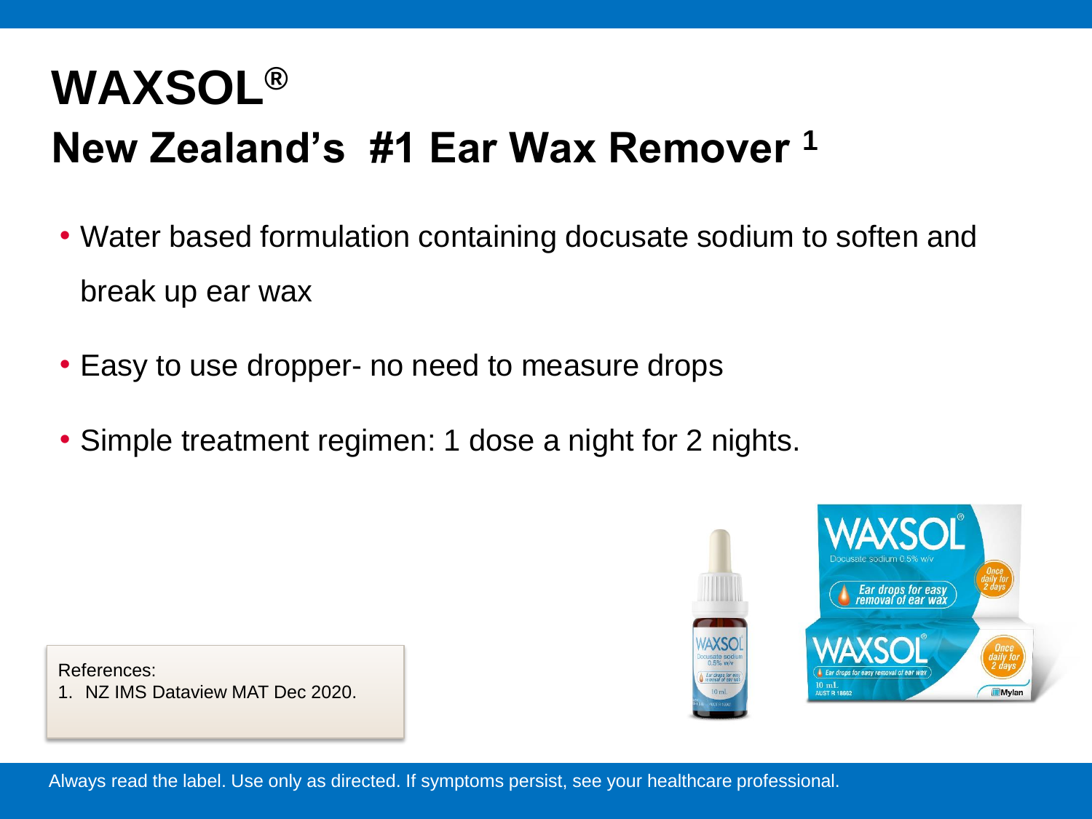### **WAXSOL® New Zealand's #1 Ear Wax Remover <sup>1</sup>**

- Water based formulation containing docusate sodium to soften and break up ear wax
- Easy to use dropper- no need to measure drops
- Simple treatment regimen: 1 dose a night for 2 nights.



References:

1. NZ IMS Dataview MAT Dec 2020.

Always read the label. Use only as directed. If symptoms persist, see your healthcare professional.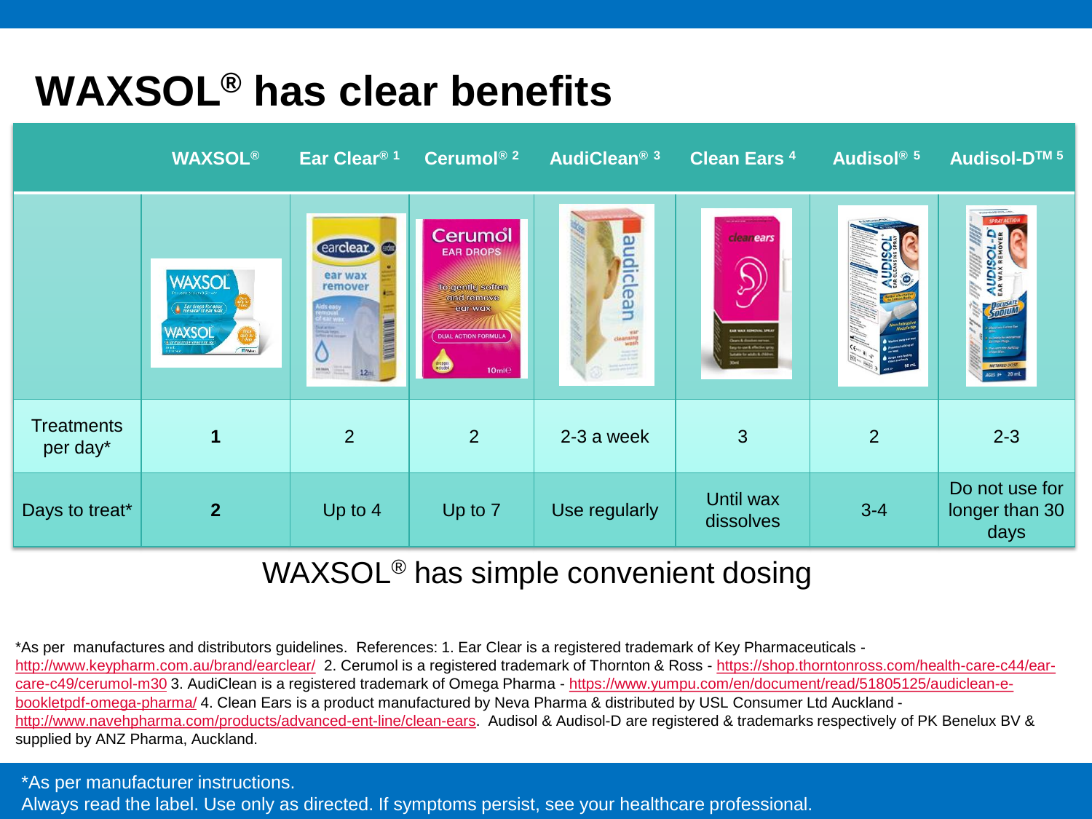### **WAXSOL® has clear benefits**

|                               | <b>WAXSOL®</b>                                                  | Ear Clear <sup>® 1</sup>                                                                                                                                                                                                                                                                                                                                                                                                                                                                                                            | Cerumol <sup>® 2</sup>                                                                                                                                     | AudiClean® 3                         | <b>Clean Ears 4</b>                                                                                                                                 | Audisol <sup>® 5</sup> | Audisol-DTM 5                                                                                                                          |
|-------------------------------|-----------------------------------------------------------------|-------------------------------------------------------------------------------------------------------------------------------------------------------------------------------------------------------------------------------------------------------------------------------------------------------------------------------------------------------------------------------------------------------------------------------------------------------------------------------------------------------------------------------------|------------------------------------------------------------------------------------------------------------------------------------------------------------|--------------------------------------|-----------------------------------------------------------------------------------------------------------------------------------------------------|------------------------|----------------------------------------------------------------------------------------------------------------------------------------|
|                               | <b>WAXSOL</b><br>Ear drops for easy<br>WAXSOL<br><b>Thistin</b> | earclear O<br>ear wax<br>remover<br>Alds easy<br>removal<br>of ear was<br><b>BAYARMAN</b><br><b>That arms</b><br>Somala begin<br>$\begin{picture}(20,20) \put(0,0){\dashbox{0.5}(20,0){ }} \put(15,0){\circle{10}} \put(25,0){\circle{10}} \put(25,0){\circle{10}} \put(25,0){\circle{10}} \put(25,0){\circle{10}} \put(25,0){\circle{10}} \put(25,0){\circle{10}} \put(25,0){\circle{10}} \put(25,0){\circle{10}} \put(25,0){\circle{10}} \put(25,0){\circle{10}} \put(25,0){\circle{10}} \put(25,0){\circle{10}} \put(25,$<br>12m | Cerumol<br><b>EAR DROPS</b><br>To gently soften<br>and remove<br>ear wax<br>$\mathbb{Z}$<br><b>DUAL ACTION FORMULA</b><br><b>eropen</b><br>10 <sub>m</sub> | audiclean<br>cleansing<br>Notes<br>三 | cleanears<br>AR WAX REMOVAL SPEA<br><b>Don't &amp; disadverserves</b><br>lary to use & affective your<br><b><i>Litate for atune &amp; child</i></b> | 13 Will                | <b>SPRAY ACTI</b><br>AUDISOL-D<br><b>SODIUM</b><br>sombie du parlame<br>Escalas Pags<br>Pascatt De Delibo<br>Allas Not<br>METERED DOSE |
| <b>Treatments</b><br>per day* | 1                                                               | $\overline{2}$                                                                                                                                                                                                                                                                                                                                                                                                                                                                                                                      | $\overline{2}$                                                                                                                                             | 2-3 a week                           | 3                                                                                                                                                   | $\overline{2}$         | $2 - 3$                                                                                                                                |
| Days to treat*                | $\mathbf{2}$                                                    | Up to 4                                                                                                                                                                                                                                                                                                                                                                                                                                                                                                                             | Up to 7                                                                                                                                                    | Use regularly                        | Until wax<br>dissolves                                                                                                                              | $3 - 4$                | Do not use for<br>longer than 30<br>days                                                                                               |

#### WAXSOL® has simple convenient dosing

\*As per manufactures and distributors guidelines. References: 1. Ear Clear is a registered trademark of Key Pharmaceuticals <http://www.keypharm.com.au/brand/earclear/> 2. Cerumol is a registered trademark of Thornton & Ross - https://shop.thorntonross.com/health-care-c44/earcare-c49/cerumol-m30 3. AudiClean is a registered trademark of Omega Pharma - [https://www.yumpu.com/en/document/read/51805125/audiclean-e](https://shop.thorntonross.com/health-care-c44/ear-care-c49/cerumol-m30)bookletpdf-omega-pharma/ [4. Clean Ears is a product manufactured by Neva Pharma & distributed by USL Consumer Ltd Auckland](https://www.yumpu.com/en/document/read/51805125/audiclean-e-bookletpdf-omega-pharma/) [http://www.navehpharma.com/products/advanced-ent-line/clean-ears.](http://www.navehpharma.com/products/advanced-ent-line/clean-ears) Audisol & Audisol-D are registered & trademarks respectively of PK Benelux BV & supplied by ANZ Pharma, Auckland.

\*As per manufacturer instructions. Always read the label. Use only as directed. If symptoms persist, see your healthcare professional.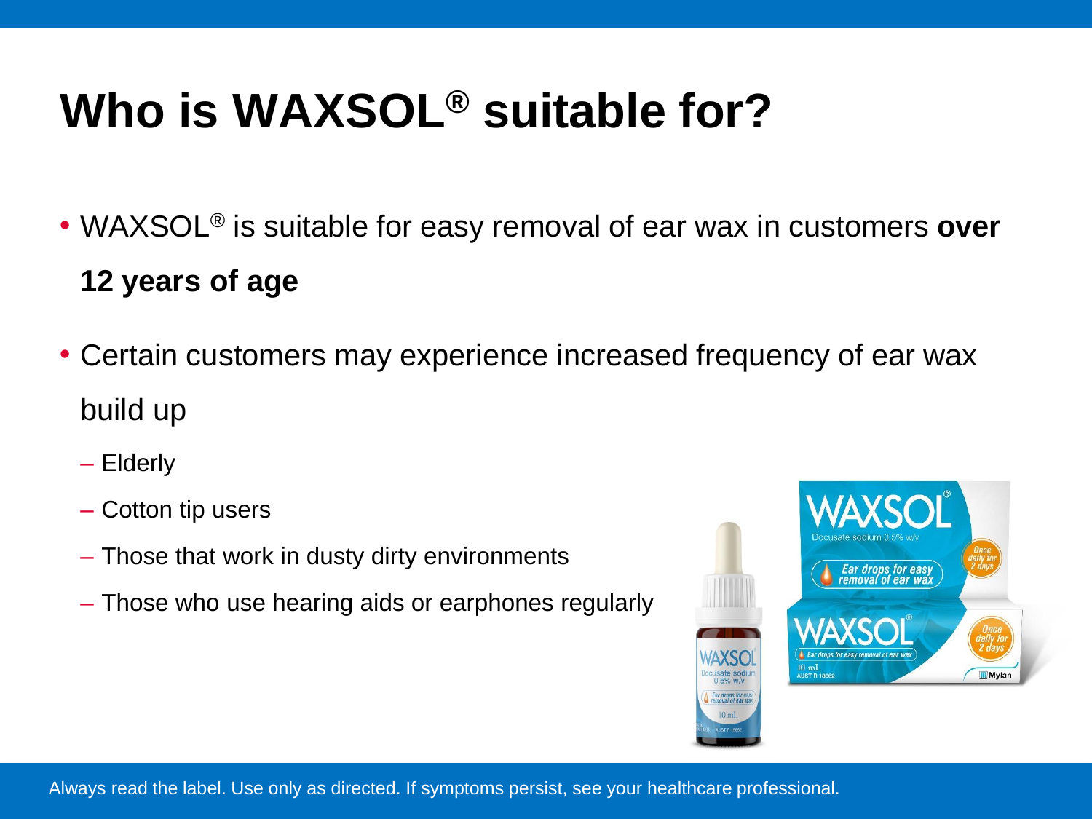# **Who is WAXSOL® suitable for?**

- WAXSOL® is suitable for easy removal of ear wax in customers **over** 
	- **12 years of age**
- Certain customers may experience increased frequency of ear wax build up
	- Elderly
	- Cotton tip users
	- Those that work in dusty dirty environments
	- Those who use hearing aids or earphones regularly



Always read the label. Use only as directed. If symptoms persist, see your healthcare professional.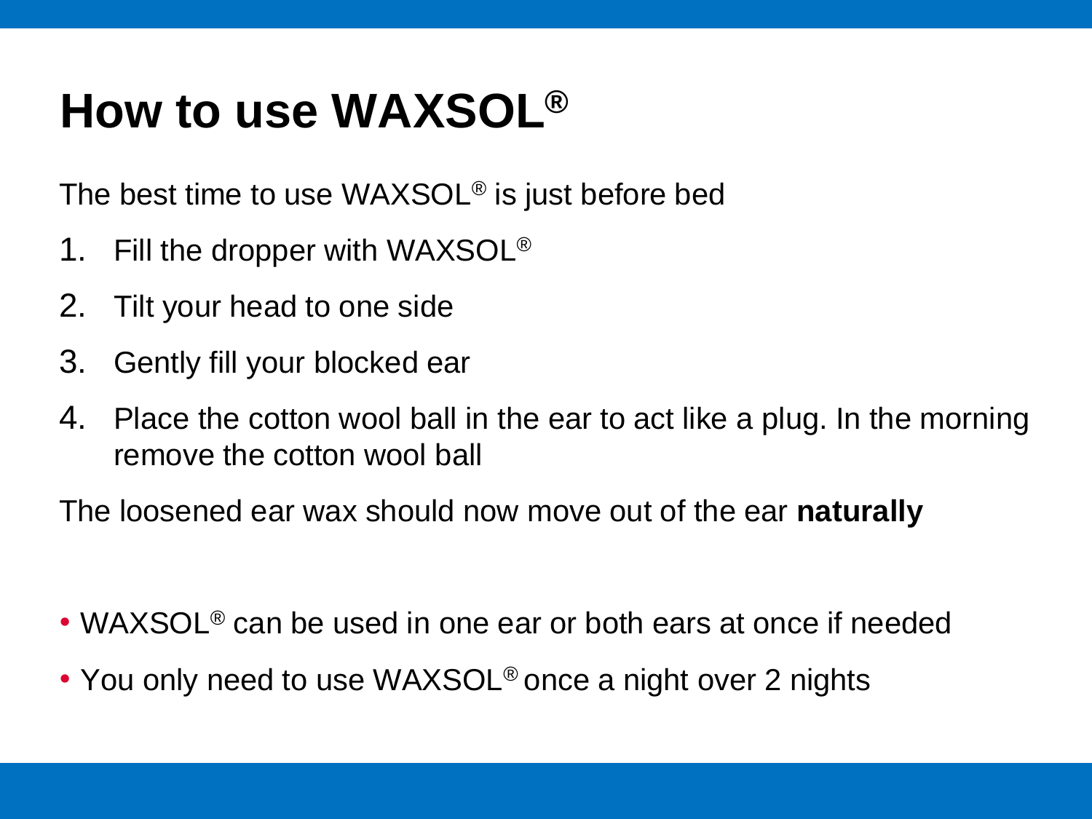## **How to use WAXSOL®**

The best time to use WAXSOL® is just before bed

- 1. Fill the dropper with WAXSOL<sup>®</sup>
- 2. Tilt your head to one side
- 3. Gently fill your blocked ear
- 4. Place the cotton wool ball in the ear to act like a plug. In the morning remove the cotton wool ball

The loosened ear wax should now move out of the ear **naturally**

- WAXSOL® can be used in one ear or both ears at once if needed
- You only need to use WAXSOL<sup>®</sup> once a night over 2 nights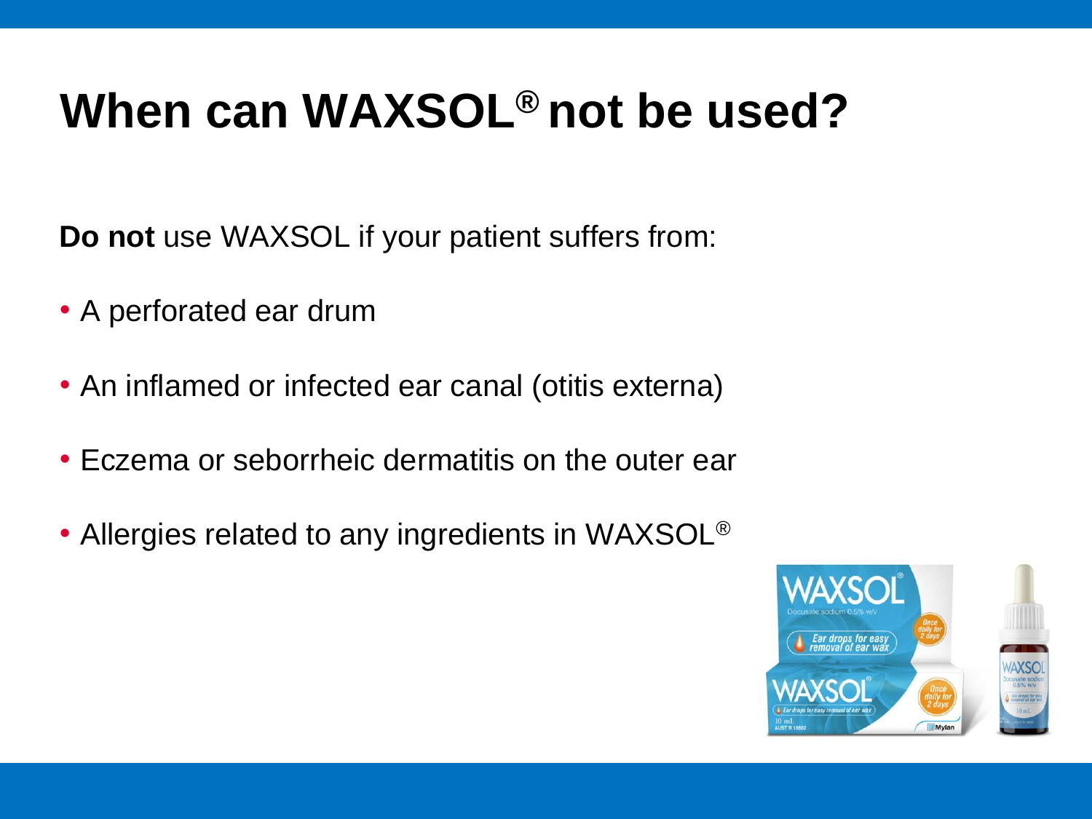# When can WAXSOL<sup>®</sup> not be used?

**Do not** use WAXSOL if your patient suffers from:

- A perforated ear drum
- An inflamed or infected ear canal (otitis externa)
- Eczema or seborrheic dermatitis on the outer ear
- Allergies related to any ingredients in WAXSOL<sup>®</sup>